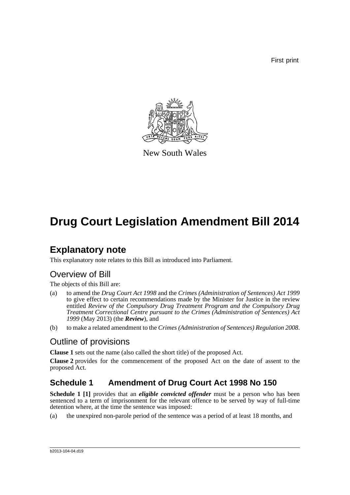First print



New South Wales

# **Drug Court Legislation Amendment Bill 2014**

## **Explanatory note**

This explanatory note relates to this Bill as introduced into Parliament.

## Overview of Bill

The objects of this Bill are:

- (a) to amend the *Drug Court Act 1998* and the *Crimes (Administration of Sentences) Act 1999* to give effect to certain recommendations made by the Minister for Justice in the review entitled *Review of the Compulsory Drug Treatment Program and the Compulsory Drug Treatment Correctional Centre pursuant to the Crimes (Administration of Sentences) Act 1999* (May 2013) (the *Review*), and
- (b) to make a related amendment to the *Crimes (Administration of Sentences) Regulation 2008*.

## Outline of provisions

**Clause 1** sets out the name (also called the short title) of the proposed Act.

**Clause 2** provides for the commencement of the proposed Act on the date of assent to the proposed Act.

## **Schedule 1 Amendment of Drug Court Act 1998 No 150**

**Schedule 1 [1]** provides that an *eligible convicted offender* must be a person who has been sentenced to a term of imprisonment for the relevant offence to be served by way of full-time detention where, at the time the sentence was imposed:

(a) the unexpired non-parole period of the sentence was a period of at least 18 months, and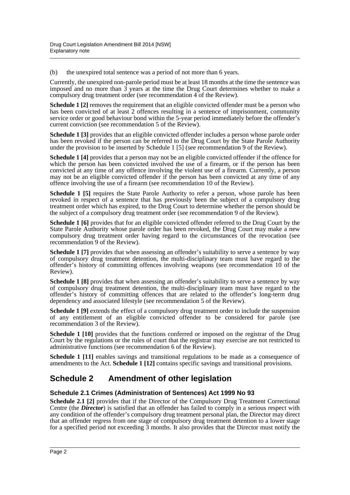(b) the unexpired total sentence was a period of not more than 6 years.

Currently, the unexpired non-parole period must be at least 18 months at the time the sentence was imposed and no more than 3 years at the time the Drug Court determines whether to make a compulsory drug treatment order (see recommendation 4 of the Review).

**Schedule 1** [2] removes the requirement that an eligible convicted offender must be a person who has been convicted of at least 2 offences resulting in a sentence of imprisonment, community service order or good behaviour bond within the 5-year period immediately before the offender's current conviction (see recommendation 5 of the Review).

**Schedule 1 [3]** provides that an eligible convicted offender includes a person whose parole order has been revoked if the person can be referred to the Drug Court by the State Parole Authority under the provision to be inserted by Schedule 1 [5] (see recommendation 9 of the Review).

**Schedule 1 [4]** provides that a person may not be an eligible convicted offender if the offence for which the person has been convicted involved the use of a firearm, or if the person has been convicted at any time of any offence involving the violent use of a firearm. Currently, a person may not be an eligible convicted offender if the person has been convicted at any time of any offence involving the use of a firearm (see recommendation 10 of the Review).

**Schedule 1 [5]** requires the State Parole Authority to refer a person, whose parole has been revoked in respect of a sentence that has previously been the subject of a compulsory drug treatment order which has expired, to the Drug Court to determine whether the person should be the subject of a compulsory drug treatment order (see recommendation 9 of the Review).

**Schedule 1 [6]** provides that for an eligible convicted offender referred to the Drug Court by the State Parole Authority whose parole order has been revoked, the Drug Court may make a new compulsory drug treatment order having regard to the circumstances of the revocation (see recommendation 9 of the Review).

**Schedule 1 [7]** provides that when assessing an offender's suitability to serve a sentence by way of compulsory drug treatment detention, the multi-disciplinary team must have regard to the offender's history of committing offences involving weapons (see recommendation 10 of the Review).

**Schedule 1 [8]** provides that when assessing an offender's suitability to serve a sentence by way of compulsory drug treatment detention, the multi-disciplinary team must have regard to the offender's history of committing offences that are related to the offender's long-term drug dependency and associated lifestyle (see recommendation 5 of the Review).

**Schedule 1 [9]** extends the effect of a compulsory drug treatment order to include the suspension of any entitlement of an eligible convicted offender to be considered for parole (see recommendation 3 of the Review).

**Schedule 1 [10]** provides that the functions conferred or imposed on the registrar of the Drug Court by the regulations or the rules of court that the registrar may exercise are not restricted to administrative functions (see recommendation 6 of the Review).

**Schedule 1 [11]** enables savings and transitional regulations to be made as a consequence of amendments to the Act. **Schedule 1 [12]** contains specific savings and transitional provisions.

### **Schedule 2 Amendment of other legislation**

#### **Schedule 2.1 Crimes (Administration of Sentences) Act 1999 No 93**

**Schedule 2.1 [2]** provides that if the Director of the Compulsory Drug Treatment Correctional Centre (the *Director*) is satisfied that an offender has failed to comply in a serious respect with any condition of the offender's compulsory drug treatment personal plan, the Director may direct that an offender regress from one stage of compulsory drug treatment detention to a lower stage for a specified period not exceeding 3 months. It also provides that the Director must notify the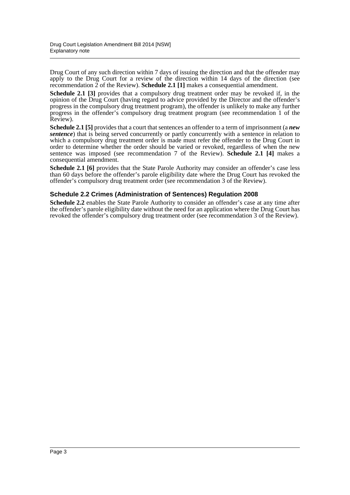Drug Court of any such direction within 7 days of issuing the direction and that the offender may apply to the Drug Court for a review of the direction within 14 days of the direction (see recommendation 2 of the Review). **Schedule 2.1 [1]** makes a consequential amendment.

**Schedule 2.1 [3]** provides that a compulsory drug treatment order may be revoked if, in the opinion of the Drug Court (having regard to advice provided by the Director and the offender's progress in the compulsory drug treatment program), the offender is unlikely to make any further progress in the offender's compulsory drug treatment program (see recommendation 1 of the Review).

**Schedule 2.1 [5]** provides that a court that sentences an offender to a term of imprisonment (a *new sentence*) that is being served concurrently or partly concurrently with a sentence in relation to which a compulsory drug treatment order is made must refer the offender to the Drug Court in order to determine whether the order should be varied or revoked, regardless of when the new sentence was imposed (see recommendation 7 of the Review). **Schedule 2.1 [4]** makes a consequential amendment.

**Schedule 2.1 [6]** provides that the State Parole Authority may consider an offender's case less than 60 days before the offender's parole eligibility date where the Drug Court has revoked the offender's compulsory drug treatment order (see recommendation 3 of the Review).

#### **Schedule 2.2 Crimes (Administration of Sentences) Regulation 2008**

**Schedule 2.2** enables the State Parole Authority to consider an offender's case at any time after the offender's parole eligibility date without the need for an application where the Drug Court has revoked the offender's compulsory drug treatment order (see recommendation 3 of the Review).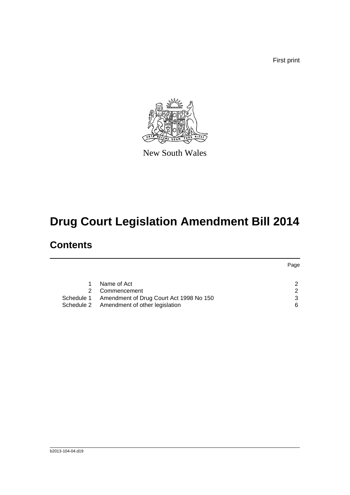First print



New South Wales

# **Drug Court Legislation Amendment Bill 2014**

# **Contents**

|    |                                                    | Page |
|----|----------------------------------------------------|------|
|    |                                                    |      |
|    | Name of Act                                        |      |
| 2. | Commencement                                       | ົ    |
|    | Schedule 1 Amendment of Drug Court Act 1998 No 150 |      |
|    | Schedule 2 Amendment of other legislation          | 6    |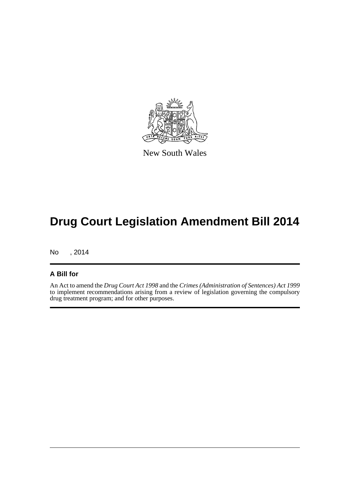

New South Wales

# **Drug Court Legislation Amendment Bill 2014**

No , 2014

#### **A Bill for**

An Act to amend the *Drug Court Act 1998* and the *Crimes (Administration of Sentences) Act 1999* to implement recommendations arising from a review of legislation governing the compulsory drug treatment program; and for other purposes.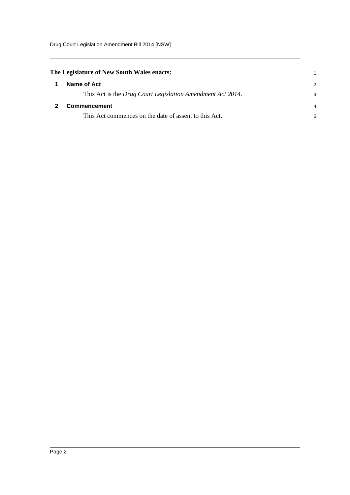<span id="page-5-1"></span><span id="page-5-0"></span>

| The Legislature of New South Wales enacts:                 |               |  |
|------------------------------------------------------------|---------------|--|
| Name of Act                                                | $\mathcal{P}$ |  |
| This Act is the Drug Court Legislation Amendment Act 2014. | 3             |  |
| <b>Commencement</b>                                        | 4             |  |
| This Act commences on the date of assent to this Act.      | 5             |  |
|                                                            |               |  |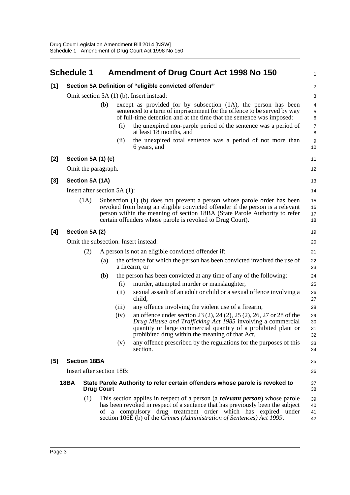<span id="page-6-0"></span>

|       | <b>Schedule 1</b>              |                   |       | <b>Amendment of Drug Court Act 1998 No 150</b>                                                                                                                                                                                                                                                                | 1                       |
|-------|--------------------------------|-------------------|-------|---------------------------------------------------------------------------------------------------------------------------------------------------------------------------------------------------------------------------------------------------------------------------------------------------------------|-------------------------|
| $[1]$ |                                |                   |       | Section 5A Definition of "eligible convicted offender"                                                                                                                                                                                                                                                        | $\overline{\mathbf{c}}$ |
|       |                                |                   |       | Omit section 5A (1) (b). Insert instead:                                                                                                                                                                                                                                                                      | 3                       |
|       |                                | (b)               |       | except as provided for by subsection (1A), the person has been<br>sentenced to a term of imprisonment for the offence to be served by way<br>of full-time detention and at the time that the sentence was imposed:                                                                                            | 4<br>5<br>6             |
|       |                                |                   | (i)   | the unexpired non-parole period of the sentence was a period of<br>at least 18 months, and                                                                                                                                                                                                                    | 7<br>8                  |
|       |                                |                   | (i)   | the unexpired total sentence was a period of not more than<br>6 years, and                                                                                                                                                                                                                                    | 9<br>10                 |
| [2]   | Section 5A (1) (c)             |                   |       |                                                                                                                                                                                                                                                                                                               | 11                      |
|       | Omit the paragraph.            |                   |       |                                                                                                                                                                                                                                                                                                               | 12                      |
| $[3]$ | Section 5A (1A)                |                   |       |                                                                                                                                                                                                                                                                                                               | 13                      |
|       | Insert after section $5A(1)$ : |                   |       |                                                                                                                                                                                                                                                                                                               | 14                      |
|       | (1A)                           |                   |       | Subsection (1) (b) does not prevent a person whose parole order has been<br>revoked from being an eligible convicted offender if the person is a relevant<br>person within the meaning of section 18BA (State Parole Authority to refer<br>certain offenders whose parole is revoked to Drug Court).          | 15<br>16<br>17<br>18    |
| [4]   | Section 5A (2)                 |                   |       |                                                                                                                                                                                                                                                                                                               | 19                      |
|       |                                |                   |       | Omit the subsection. Insert instead:                                                                                                                                                                                                                                                                          | 20                      |
|       | (2)                            |                   |       | A person is not an eligible convicted offender if:                                                                                                                                                                                                                                                            | 21                      |
|       |                                | (a)               |       | the offence for which the person has been convicted involved the use of<br>a firearm, or                                                                                                                                                                                                                      | 22<br>23                |
|       |                                | (b)               |       | the person has been convicted at any time of any of the following:                                                                                                                                                                                                                                            | 24                      |
|       |                                |                   | (i)   | murder, attempted murder or manslaughter,                                                                                                                                                                                                                                                                     | 25                      |
|       |                                |                   | (i)   | sexual assault of an adult or child or a sexual offence involving a<br>child,                                                                                                                                                                                                                                 | 26<br>27                |
|       |                                |                   | (iii) | any offence involving the violent use of a firearm,                                                                                                                                                                                                                                                           | 28                      |
|       |                                |                   | (iv)  | an offence under section 23 (2), 24 (2), 25 (2), 26, 27 or 28 of the<br>Drug Misuse and Trafficking Act 1985 involving a commercial<br>quantity or large commercial quantity of a prohibited plant or<br>prohibited drug within the meaning of that Act,                                                      | 29<br>30<br>31<br>32    |
|       |                                |                   | (v)   | any offence prescribed by the regulations for the purposes of this<br>section.                                                                                                                                                                                                                                | 33<br>34                |
| [5]   | <b>Section 18BA</b>            |                   |       |                                                                                                                                                                                                                                                                                                               | 35                      |
|       | Insert after section 18B:      |                   |       |                                                                                                                                                                                                                                                                                                               | 36                      |
|       | <b>18BA</b>                    | <b>Drug Court</b> |       | State Parole Authority to refer certain offenders whose parole is revoked to                                                                                                                                                                                                                                  | 37<br>38                |
|       | (1)                            | of                |       | This section applies in respect of a person (a <b>relevant person</b> ) whose parole<br>has been revoked in respect of a sentence that has previously been the subject<br>a compulsory drug treatment order which has expired under<br>section 106E (b) of the Crimes (Administration of Sentences) Act 1999. | 39<br>40<br>41<br>42    |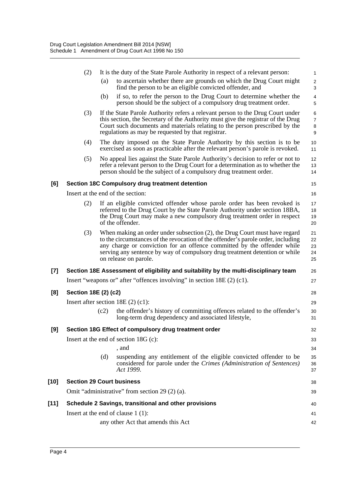|        | (2)                                                   |      | It is the duty of the State Parole Authority in respect of a relevant person:                                                                                                                                                                                                                                                                     | $\mathbf{1}$                  |  |  |
|--------|-------------------------------------------------------|------|---------------------------------------------------------------------------------------------------------------------------------------------------------------------------------------------------------------------------------------------------------------------------------------------------------------------------------------------------|-------------------------------|--|--|
|        |                                                       | (a)  | to ascertain whether there are grounds on which the Drug Court might<br>find the person to be an eligible convicted offender, and                                                                                                                                                                                                                 | $\sqrt{2}$<br>3               |  |  |
|        |                                                       | (b)  | if so, to refer the person to the Drug Court to determine whether the<br>person should be the subject of a compulsory drug treatment order.                                                                                                                                                                                                       | $\overline{4}$<br>5           |  |  |
|        | (3)                                                   |      | If the State Parole Authority refers a relevant person to the Drug Court under<br>this section, the Secretary of the Authority must give the registrar of the Drug<br>Court such documents and materials relating to the person prescribed by the<br>regulations as may be requested by that registrar.                                           | 6<br>$\overline{7}$<br>8<br>9 |  |  |
|        | (4)                                                   |      | The duty imposed on the State Parole Authority by this section is to be<br>exercised as soon as practicable after the relevant person's parole is revoked.                                                                                                                                                                                        | 10<br>11                      |  |  |
|        | (5)                                                   |      | No appeal lies against the State Parole Authority's decision to refer or not to<br>refer a relevant person to the Drug Court for a determination as to whether the<br>person should be the subject of a compulsory drug treatment order.                                                                                                          | 12<br>13<br>14                |  |  |
| [6]    |                                                       |      | Section 18C Compulsory drug treatment detention                                                                                                                                                                                                                                                                                                   | 15                            |  |  |
|        |                                                       |      | Insert at the end of the section:                                                                                                                                                                                                                                                                                                                 | 16                            |  |  |
|        | (2)                                                   |      | If an eligible convicted offender whose parole order has been revoked is<br>referred to the Drug Court by the State Parole Authority under section 18BA,<br>the Drug Court may make a new compulsory drug treatment order in respect<br>of the offender.                                                                                          | 17<br>18<br>19<br>20          |  |  |
|        | (3)                                                   |      | When making an order under subsection (2), the Drug Court must have regard<br>to the circumstances of the revocation of the offender's parole order, including<br>any charge or conviction for an offence committed by the offender while<br>serving any sentence by way of compulsory drug treatment detention or while<br>on release on parole. | 21<br>22<br>23<br>24<br>25    |  |  |
| $[7]$  |                                                       |      | Section 18E Assessment of eligibility and suitability by the multi-disciplinary team                                                                                                                                                                                                                                                              | 26                            |  |  |
|        |                                                       |      | Insert "weapons or" after "offences involving" in section 18E (2) (c1).                                                                                                                                                                                                                                                                           | 27                            |  |  |
| [8]    | Section 18E (2) (c2)                                  |      |                                                                                                                                                                                                                                                                                                                                                   | 28                            |  |  |
|        | Insert after section $18E(2)(c1)$ :                   |      |                                                                                                                                                                                                                                                                                                                                                   |                               |  |  |
|        |                                                       | (c2) | the offender's history of committing offences related to the offender's<br>long-term drug dependency and associated lifestyle,                                                                                                                                                                                                                    | 30<br>31                      |  |  |
| $[9]$  |                                                       |      | Section 18G Effect of compulsory drug treatment order                                                                                                                                                                                                                                                                                             | 32                            |  |  |
|        | Insert at the end of section $18G$ (c):               |      |                                                                                                                                                                                                                                                                                                                                                   |                               |  |  |
|        |                                                       |      | , and                                                                                                                                                                                                                                                                                                                                             | 34                            |  |  |
|        |                                                       | (d)  | suspending any entitlement of the eligible convicted offender to be<br>considered for parole under the Crimes (Administration of Sentences)<br>Act 1999.                                                                                                                                                                                          | 35<br>36<br>37                |  |  |
| $[10]$ | <b>Section 29 Court business</b>                      |      |                                                                                                                                                                                                                                                                                                                                                   | 38                            |  |  |
|        | Omit "administrative" from section 29 (2) (a).        |      |                                                                                                                                                                                                                                                                                                                                                   |                               |  |  |
| $[11]$ | Schedule 2 Savings, transitional and other provisions |      |                                                                                                                                                                                                                                                                                                                                                   |                               |  |  |
|        |                                                       |      | Insert at the end of clause $1(1)$ :                                                                                                                                                                                                                                                                                                              | 41                            |  |  |
|        |                                                       |      | any other Act that amends this Act                                                                                                                                                                                                                                                                                                                | 42                            |  |  |
|        |                                                       |      |                                                                                                                                                                                                                                                                                                                                                   |                               |  |  |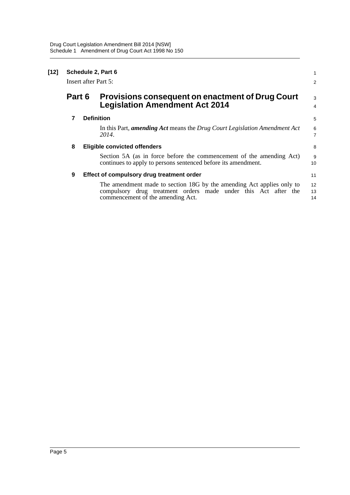| $[12]$ | Schedule 2, Part 6<br>Insert after Part 5: |  |                                                                                                                                                                              |                     |
|--------|--------------------------------------------|--|------------------------------------------------------------------------------------------------------------------------------------------------------------------------------|---------------------|
|        | Part 6                                     |  | Provisions consequent on enactment of Drug Court<br><b>Legislation Amendment Act 2014</b>                                                                                    | 3<br>$\overline{4}$ |
|        | 7                                          |  | <b>Definition</b>                                                                                                                                                            | 5                   |
|        |                                            |  | In this Part, amending Act means the Drug Court Legislation Amendment Act<br>2014.                                                                                           | 6<br>$\overline{7}$ |
|        | 8                                          |  | <b>Eligible convicted offenders</b>                                                                                                                                          | 8                   |
|        |                                            |  | Section 5A (as in force before the commencement of the amending Act)<br>continues to apply to persons sentenced before its amendment.                                        | 9<br>10             |
|        | 9                                          |  | Effect of compulsory drug treatment order                                                                                                                                    | 11                  |
|        |                                            |  | The amendment made to section 18G by the amending Act applies only to<br>compulsory drug treatment orders made under this Act after the<br>commencement of the amending Act. | 12<br>13<br>14      |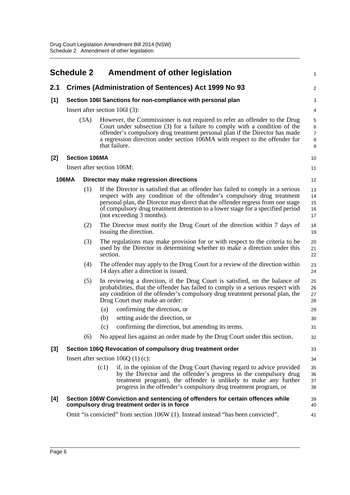<span id="page-9-0"></span>

|       | <b>Schedule 2</b> |                      | <b>Amendment of other legislation</b>                                                                                                                                                                                                                                                                                                                       | 1                                  |
|-------|-------------------|----------------------|-------------------------------------------------------------------------------------------------------------------------------------------------------------------------------------------------------------------------------------------------------------------------------------------------------------------------------------------------------------|------------------------------------|
| 2.1   |                   |                      | <b>Crimes (Administration of Sentences) Act 1999 No 93</b>                                                                                                                                                                                                                                                                                                  | $\overline{\mathbf{c}}$            |
| [1]   |                   |                      | Section 106I Sanctions for non-compliance with personal plan                                                                                                                                                                                                                                                                                                | 3                                  |
|       |                   |                      | Insert after section $106I(3)$ :                                                                                                                                                                                                                                                                                                                            | 4                                  |
|       |                   | (3A)                 | However, the Commissioner is not required to refer an offender to the Drug<br>Court under subsection (3) for a failure to comply with a condition of the<br>offender's compulsory drug treatment personal plan if the Director has made<br>a regression direction under section 106MA with respect to the offender for<br>that failure.                     | 5<br>6<br>$\overline{7}$<br>8<br>9 |
| [2]   |                   | <b>Section 106MA</b> |                                                                                                                                                                                                                                                                                                                                                             | 10                                 |
|       |                   |                      | Insert after section 106M:                                                                                                                                                                                                                                                                                                                                  | 11                                 |
|       | <b>106MA</b>      |                      | Director may make regression directions                                                                                                                                                                                                                                                                                                                     | 12                                 |
|       |                   | (1)                  | If the Director is satisfied that an offender has failed to comply in a serious<br>respect with any condition of the offender's compulsory drug treatment<br>personal plan, the Director may direct that the offender regress from one stage<br>of compulsory drug treatment detention to a lower stage for a specified period<br>(not exceeding 3 months). | 13<br>14<br>15<br>16<br>17         |
|       |                   | (2)                  | The Director must notify the Drug Court of the direction within 7 days of<br>issuing the direction.                                                                                                                                                                                                                                                         | 18<br>19                           |
|       |                   | (3)                  | The regulations may make provision for or with respect to the criteria to be<br>used by the Director in determining whether to make a direction under this<br>section.                                                                                                                                                                                      | 20<br>21<br>22                     |
|       |                   | (4)                  | The offender may apply to the Drug Court for a review of the direction within<br>14 days after a direction is issued.                                                                                                                                                                                                                                       | 23<br>24                           |
|       |                   | (5)                  | In reviewing a direction, if the Drug Court is satisfied, on the balance of<br>probabilities, that the offender has failed to comply in a serious respect with<br>any condition of the offender's compulsory drug treatment personal plan, the<br>Drug Court may make an order:<br>confirming the direction, or<br>(a)                                      | 25<br>26<br>27<br>28<br>29         |
|       |                   |                      | setting aside the direction, or<br>(b)                                                                                                                                                                                                                                                                                                                      | 30                                 |
|       |                   |                      | confirming the direction, but amending its terms.<br>(c)                                                                                                                                                                                                                                                                                                    | 31                                 |
|       |                   | (6)                  | No appeal lies against an order made by the Drug Court under this section.                                                                                                                                                                                                                                                                                  | 32                                 |
| $[3]$ |                   |                      | Section 106Q Revocation of compulsory drug treatment order                                                                                                                                                                                                                                                                                                  | 33                                 |
|       |                   |                      | Insert after section $106Q(1)(c)$ :                                                                                                                                                                                                                                                                                                                         | 34                                 |
|       |                   |                      | (c1)<br>if, in the opinion of the Drug Court (having regard to advice provided<br>by the Director and the offender's progress in the compulsory drug<br>treatment program), the offender is unlikely to make any further<br>progress in the offender's compulsory drug treatment program, or                                                                | 35<br>36<br>37<br>38               |
| [4]   |                   |                      | Section 106W Conviction and sentencing of offenders for certain offences while<br>compulsory drug treatment order is in force                                                                                                                                                                                                                               | 39<br>40                           |
|       |                   |                      | Omit "is convicted" from section 106W (1). Instead instead "has been convicted".                                                                                                                                                                                                                                                                            | 41                                 |